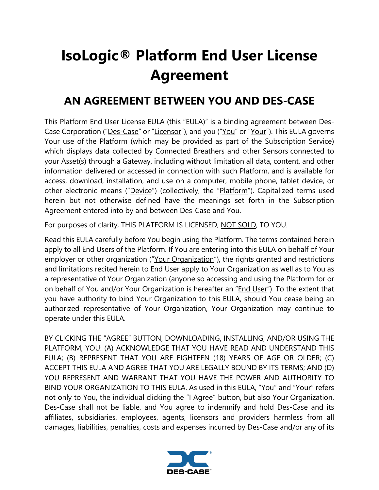## **IsoLogic® Platform End User License Agreement**

## **AN AGREEMENT BETWEEN YOU AND DES-CASE**

This Platform End User License EULA (this "EULA)" is a binding agreement between Des-Case Corporation ("Des-Case" or "Licensor"), and you ("You" or "Your"). This EULA governs Your use of the Platform (which may be provided as part of the Subscription Service) which displays data collected by Connected Breathers and other Sensors connected to your Asset(s) through a Gateway, including without limitation all data, content, and other information delivered or accessed in connection with such Platform, and is available for access, download, installation, and use on a computer, mobile phone, tablet device, or other electronic means ("Device") (collectively, the "Platform"). Capitalized terms used herein but not otherwise defined have the meanings set forth in the Subscription Agreement entered into by and between Des-Case and You.

For purposes of clarity, THIS PLATFORM IS LICENSED, NOT SOLD, TO YOU.

Read this EULA carefully before You begin using the Platform. The terms contained herein apply to all End Users of the Platform. If You are entering into this EULA on behalf of Your employer or other organization ("Your Organization"), the rights granted and restrictions and limitations recited herein to End User apply to Your Organization as well as to You as a representative of Your Organization (anyone so accessing and using the Platform for or on behalf of You and/or Your Organization is hereafter an "End User"). To the extent that you have authority to bind Your Organization to this EULA, should You cease being an authorized representative of Your Organization, Your Organization may continue to operate under this EULA.

BY CLICKING THE "AGREE" BUTTON, DOWNLOADING, INSTALLING, AND/OR USING THE PLATFORM, YOU: (A) ACKNOWLEDGE THAT YOU HAVE READ AND UNDERSTAND THIS EULA; (B) REPRESENT THAT YOU ARE EIGHTEEN (18) YEARS OF AGE OR OLDER; (C) ACCEPT THIS EULA AND AGREE THAT YOU ARE LEGALLY BOUND BY ITS TERMS; AND (D) YOU REPRESENT AND WARRANT THAT YOU HAVE THE POWER AND AUTHORITY TO BIND YOUR ORGANIZATION TO THIS EULA. As used in this EULA, "You" and "Your" refers not only to You, the individual clicking the "I Agree" button, but also Your Organization. Des-Case shall not be liable, and You agree to indemnify and hold Des-Case and its affiliates, subsidiaries, employees, agents, licensors and providers harmless from all damages, liabilities, penalties, costs and expenses incurred by Des-Case and/or any of its

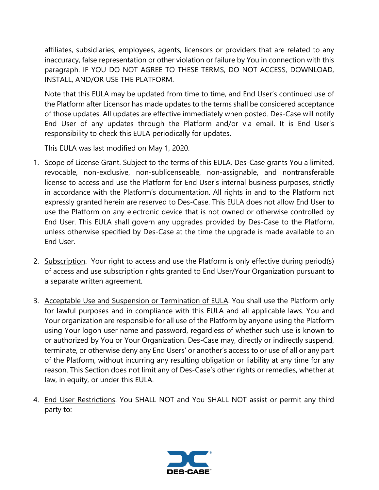affiliates, subsidiaries, employees, agents, licensors or providers that are related to any inaccuracy, false representation or other violation or failure by You in connection with this paragraph. IF YOU DO NOT AGREE TO THESE TERMS, DO NOT ACCESS, DOWNLOAD, INSTALL, AND/OR USE THE PLATFORM.

Note that this EULA may be updated from time to time, and End User's continued use of the Platform after Licensor has made updates to the terms shall be considered acceptance of those updates. All updates are effective immediately when posted. Des-Case will notify End User of any updates through the Platform and/or via email. It is End User's responsibility to check this EULA periodically for updates.

This EULA was last modified on May 1, 2020.

- 1. Scope of License Grant. Subject to the terms of this EULA, Des-Case grants You a limited, revocable, non-exclusive, non-sublicenseable, non-assignable, and nontransferable license to access and use the Platform for End User's internal business purposes, strictly in accordance with the Platform's documentation. All rights in and to the Platform not expressly granted herein are reserved to Des-Case. This EULA does not allow End User to use the Platform on any electronic device that is not owned or otherwise controlled by End User. This EULA shall govern any upgrades provided by Des-Case to the Platform, unless otherwise specified by Des-Case at the time the upgrade is made available to an End User.
- 2. Subscription. Your right to access and use the Platform is only effective during period(s) of access and use subscription rights granted to End User/Your Organization pursuant to a separate written agreement.
- 3. Acceptable Use and Suspension or Termination of EULA. You shall use the Platform only for lawful purposes and in compliance with this EULA and all applicable laws. You and Your organization are responsible for all use of the Platform by anyone using the Platform using Your logon user name and password, regardless of whether such use is known to or authorized by You or Your Organization. Des-Case may, directly or indirectly suspend, terminate, or otherwise deny any End Users' or another's access to or use of all or any part of the Platform, without incurring any resulting obligation or liability at any time for any reason. This Section does not limit any of Des-Case's other rights or remedies, whether at law, in equity, or under this EULA.
- 4. End User Restrictions. You SHALL NOT and You SHALL NOT assist or permit any third party to:

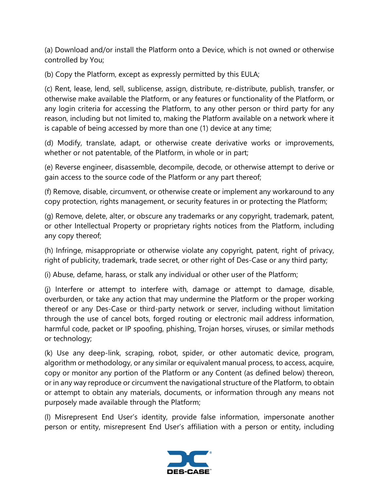(a) Download and/or install the Platform onto a Device, which is not owned or otherwise controlled by You;

(b) Copy the Platform, except as expressly permitted by this EULA;

(c) Rent, lease, lend, sell, sublicense, assign, distribute, re-distribute, publish, transfer, or otherwise make available the Platform, or any features or functionality of the Platform, or any login criteria for accessing the Platform, to any other person or third party for any reason, including but not limited to, making the Platform available on a network where it is capable of being accessed by more than one (1) device at any time;

(d) Modify, translate, adapt, or otherwise create derivative works or improvements, whether or not patentable, of the Platform, in whole or in part;

(e) Reverse engineer, disassemble, decompile, decode, or otherwise attempt to derive or gain access to the source code of the Platform or any part thereof;

(f) Remove, disable, circumvent, or otherwise create or implement any workaround to any copy protection, rights management, or security features in or protecting the Platform;

(g) Remove, delete, alter, or obscure any trademarks or any copyright, trademark, patent, or other Intellectual Property or proprietary rights notices from the Platform, including any copy thereof;

(h) Infringe, misappropriate or otherwise violate any copyright, patent, right of privacy, right of publicity, trademark, trade secret, or other right of Des-Case or any third party;

(i) Abuse, defame, harass, or stalk any individual or other user of the Platform;

(j) Interfere or attempt to interfere with, damage or attempt to damage, disable, overburden, or take any action that may undermine the Platform or the proper working thereof or any Des-Case or third-party network or server, including without limitation through the use of cancel bots, forged routing or electronic mail address information, harmful code, packet or IP spoofing, phishing, Trojan horses, viruses, or similar methods or technology;

(k) Use any deep-link, scraping, robot, spider, or other automatic device, program, algorithm or methodology, or any similar or equivalent manual process, to access, acquire, copy or monitor any portion of the Platform or any Content (as defined below) thereon, or in any way reproduce or circumvent the navigational structure of the Platform, to obtain or attempt to obtain any materials, documents, or information through any means not purposely made available through the Platform;

(l) Misrepresent End User's identity, provide false information, impersonate another person or entity, misrepresent End User's affiliation with a person or entity, including

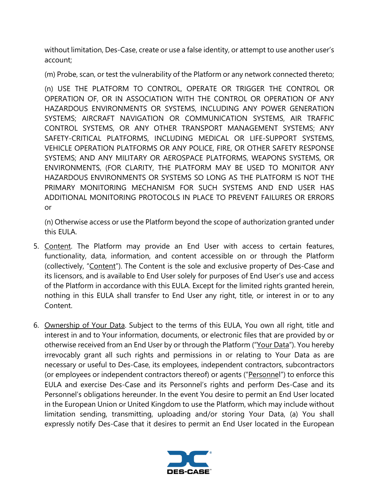without limitation, Des-Case, create or use a false identity, or attempt to use another user's account;

(m) Probe, scan, or test the vulnerability of the Platform or any network connected thereto;

(n) USE THE PLATFORM TO CONTROL, OPERATE OR TRIGGER THE CONTROL OR OPERATION OF, OR IN ASSOCIATION WITH THE CONTROL OR OPERATION OF ANY HAZARDOUS ENVIRONMENTS OR SYSTEMS, INCLUDING ANY POWER GENERATION SYSTEMS; AIRCRAFT NAVIGATION OR COMMUNICATION SYSTEMS, AIR TRAFFIC CONTROL SYSTEMS, OR ANY OTHER TRANSPORT MANAGEMENT SYSTEMS; ANY SAFETY-CRITICAL PLATFORMS, INCLUDING MEDICAL OR LIFE-SUPPORT SYSTEMS, VEHICLE OPERATION PLATFORMS OR ANY POLICE, FIRE, OR OTHER SAFETY RESPONSE SYSTEMS; AND ANY MILITARY OR AEROSPACE PLATFORMS, WEAPONS SYSTEMS, OR ENVIRONMENTS, (FOR CLARITY, THE PLATFORM MAY BE USED TO MONITOR ANY HAZARDOUS ENVIRONMENTS OR SYSTEMS SO LONG AS THE PLATFORM IS NOT THE PRIMARY MONITORING MECHANISM FOR SUCH SYSTEMS AND END USER HAS ADDITIONAL MONITORING PROTOCOLS IN PLACE TO PREVENT FAILURES OR ERRORS or

(n) Otherwise access or use the Platform beyond the scope of authorization granted under this EULA.

- 5. Content. The Platform may provide an End User with access to certain features, functionality, data, information, and content accessible on or through the Platform (collectively, "Content"). The Content is the sole and exclusive property of Des-Case and its licensors, and is available to End User solely for purposes of End User's use and access of the Platform in accordance with this EULA. Except for the limited rights granted herein, nothing in this EULA shall transfer to End User any right, title, or interest in or to any Content.
- 6. Ownership of Your Data. Subject to the terms of this EULA, You own all right, title and interest in and to Your information, documents, or electronic files that are provided by or otherwise received from an End User by or through the Platform ("Your Data"). You hereby irrevocably grant all such rights and permissions in or relating to Your Data as are necessary or useful to Des-Case, its employees, independent contractors, subcontractors (or employees or independent contractors thereof) or agents ("Personnel") to enforce this EULA and exercise Des-Case and its Personnel's rights and perform Des-Case and its Personnel's obligations hereunder. In the event You desire to permit an End User located in the European Union or United Kingdom to use the Platform, which may include without limitation sending, transmitting, uploading and/or storing Your Data, (a) You shall expressly notify Des-Case that it desires to permit an End User located in the European

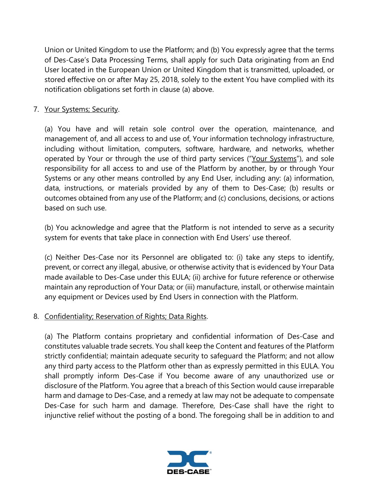Union or United Kingdom to use the Platform; and (b) You expressly agree that the terms of Des-Case's Data Processing Terms, shall apply for such Data originating from an End User located in the European Union or United Kingdom that is transmitted, uploaded, or stored effective on or after May 25, 2018, solely to the extent You have complied with its notification obligations set forth in clause (a) above.

7. Your Systems; Security.

(a) You have and will retain sole control over the operation, maintenance, and management of, and all access to and use of, Your information technology infrastructure, including without limitation, computers, software, hardware, and networks, whether operated by Your or through the use of third party services ("Your Systems"), and sole responsibility for all access to and use of the Platform by another, by or through Your Systems or any other means controlled by any End User, including any: (a) information, data, instructions, or materials provided by any of them to Des-Case; (b) results or outcomes obtained from any use of the Platform; and (c) conclusions, decisions, or actions based on such use.

(b) You acknowledge and agree that the Platform is not intended to serve as a security system for events that take place in connection with End Users' use thereof.

(c) Neither Des-Case nor its Personnel are obligated to: (i) take any steps to identify, prevent, or correct any illegal, abusive, or otherwise activity that is evidenced by Your Data made available to Des-Case under this EULA; (ii) archive for future reference or otherwise maintain any reproduction of Your Data; or (iii) manufacture, install, or otherwise maintain any equipment or Devices used by End Users in connection with the Platform.

8. Confidentiality; Reservation of Rights; Data Rights.

(a) The Platform contains proprietary and confidential information of Des-Case and constitutes valuable trade secrets. You shall keep the Content and features of the Platform strictly confidential; maintain adequate security to safeguard the Platform; and not allow any third party access to the Platform other than as expressly permitted in this EULA. You shall promptly inform Des-Case if You become aware of any unauthorized use or disclosure of the Platform. You agree that a breach of this Section would cause irreparable harm and damage to Des-Case, and a remedy at law may not be adequate to compensate Des-Case for such harm and damage. Therefore, Des-Case shall have the right to injunctive relief without the posting of a bond. The foregoing shall be in addition to and

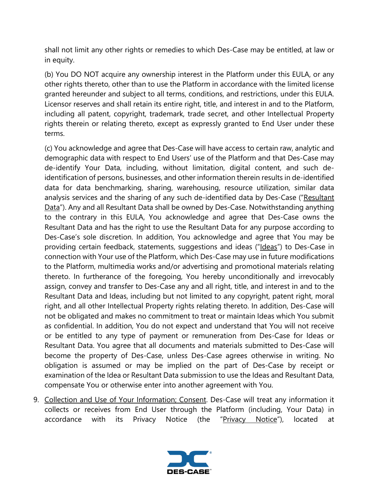shall not limit any other rights or remedies to which Des-Case may be entitled, at law or in equity.

(b) You DO NOT acquire any ownership interest in the Platform under this EULA, or any other rights thereto, other than to use the Platform in accordance with the limited license granted hereunder and subject to all terms, conditions, and restrictions, under this EULA. Licensor reserves and shall retain its entire right, title, and interest in and to the Platform, including all patent, copyright, trademark, trade secret, and other Intellectual Property rights therein or relating thereto, except as expressly granted to End User under these terms.

(c) You acknowledge and agree that Des-Case will have access to certain raw, analytic and demographic data with respect to End Users' use of the Platform and that Des-Case may de-identify Your Data, including, without limitation, digital content, and such deidentification of persons, businesses, and other information therein results in de-identified data for data benchmarking, sharing, warehousing, resource utilization, similar data analysis services and the sharing of any such de-identified data by Des-Case ("Resultant Data"). Any and all Resultant Data shall be owned by Des-Case. Notwithstanding anything to the contrary in this EULA, You acknowledge and agree that Des-Case owns the Resultant Data and has the right to use the Resultant Data for any purpose according to Des-Case's sole discretion. In addition, You acknowledge and agree that You may be providing certain feedback, statements, suggestions and ideas ("Ideas") to Des-Case in connection with Your use of the Platform, which Des-Case may use in future modifications to the Platform, multimedia works and/or advertising and promotional materials relating thereto. In furtherance of the foregoing, You hereby unconditionally and irrevocably assign, convey and transfer to Des-Case any and all right, title, and interest in and to the Resultant Data and Ideas, including but not limited to any copyright, patent right, moral right, and all other Intellectual Property rights relating thereto. In addition, Des-Case will not be obligated and makes no commitment to treat or maintain Ideas which You submit as confidential. In addition, You do not expect and understand that You will not receive or be entitled to any type of payment or remuneration from Des-Case for Ideas or Resultant Data. You agree that all documents and materials submitted to Des-Case will become the property of Des-Case, unless Des-Case agrees otherwise in writing. No obligation is assumed or may be implied on the part of Des-Case by receipt or examination of the Idea or Resultant Data submission to use the Ideas and Resultant Data, compensate You or otherwise enter into another agreement with You.

9. Collection and Use of Your Information; Consent. Des-Case will treat any information it collects or receives from End User through the Platform (including, Your Data) in accordance with its Privacy Notice (the "Privacy Notice"), located at

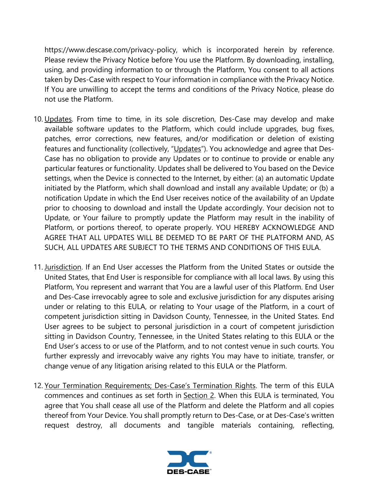https://www.descase.com/privacy-policy, which is incorporated herein by reference. Please review the Privacy Notice before You use the Platform. By downloading, installing, using, and providing information to or through the Platform, You consent to all actions taken by Des-Case with respect to Your information in compliance with the Privacy Notice. If You are unwilling to accept the terms and conditions of the Privacy Notice, please do not use the Platform.

- 10. Updates. From time to time, in its sole discretion, Des-Case may develop and make available software updates to the Platform, which could include upgrades, bug fixes, patches, error corrections, new features, and/or modification or deletion of existing features and functionality (collectively, "Updates"). You acknowledge and agree that Des-Case has no obligation to provide any Updates or to continue to provide or enable any particular features or functionality. Updates shall be delivered to You based on the Device settings, when the Device is connected to the Internet, by either: (a) an automatic Update initiated by the Platform, which shall download and install any available Update; or (b) a notification Update in which the End User receives notice of the availability of an Update prior to choosing to download and install the Update accordingly. Your decision not to Update, or Your failure to promptly update the Platform may result in the inability of Platform, or portions thereof, to operate properly. YOU HEREBY ACKNOWLEDGE AND AGREE THAT ALL UPDATES WILL BE DEEMED TO BE PART OF THE PLATFORM AND, AS SUCH, ALL UPDATES ARE SUBJECT TO THE TERMS AND CONDITIONS OF THIS EULA.
- 11. Jurisdiction. If an End User accesses the Platform from the United States or outside the United States, that End User is responsible for compliance with all local laws. By using this Platform, You represent and warrant that You are a lawful user of this Platform. End User and Des-Case irrevocably agree to sole and exclusive jurisdiction for any disputes arising under or relating to this EULA, or relating to Your usage of the Platform, in a court of competent jurisdiction sitting in Davidson County, Tennessee, in the United States. End User agrees to be subject to personal jurisdiction in a court of competent jurisdiction sitting in Davidson Country, Tennessee, in the United States relating to this EULA or the End User's access to or use of the Platform, and to not contest venue in such courts. You further expressly and irrevocably waive any rights You may have to initiate, transfer, or change venue of any litigation arising related to this EULA or the Platform.
- 12. Your Termination Requirements; Des-Case's Termination Rights. The term of this EULA commences and continues as set forth in Section 2. When this EULA is terminated, You agree that You shall cease all use of the Platform and delete the Platform and all copies thereof from Your Device. You shall promptly return to Des-Case, or at Des-Case's written request destroy, all documents and tangible materials containing, reflecting,

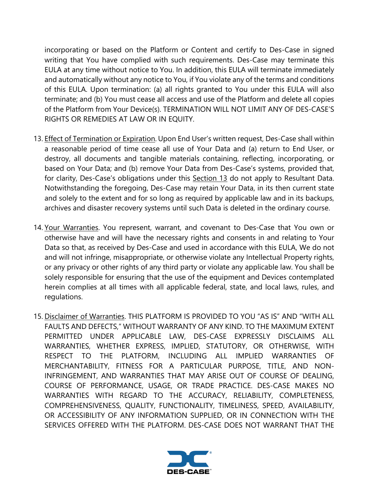incorporating or based on the Platform or Content and certify to Des-Case in signed writing that You have complied with such requirements. Des-Case may terminate this EULA at any time without notice to You. In addition, this EULA will terminate immediately and automatically without any notice to You, if You violate any of the terms and conditions of this EULA. Upon termination: (a) all rights granted to You under this EULA will also terminate; and (b) You must cease all access and use of the Platform and delete all copies of the Platform from Your Device(s). TERMINATION WILL NOT LIMIT ANY OF DES-CASE'S RIGHTS OR REMEDIES AT LAW OR IN EQUITY.

- 13. Effect of Termination or Expiration. Upon End User's written request, Des-Case shall within a reasonable period of time cease all use of Your Data and (a) return to End User, or destroy, all documents and tangible materials containing, reflecting, incorporating, or based on Your Data; and (b) remove Your Data from Des-Case's systems, provided that, for clarity, Des-Case's obligations under this Section 13 do not apply to Resultant Data. Notwithstanding the foregoing, Des-Case may retain Your Data, in its then current state and solely to the extent and for so long as required by applicable law and in its backups, archives and disaster recovery systems until such Data is deleted in the ordinary course.
- 14. Your Warranties. You represent, warrant, and covenant to Des-Case that You own or otherwise have and will have the necessary rights and consents in and relating to Your Data so that, as received by Des-Case and used in accordance with this EULA, We do not and will not infringe, misappropriate, or otherwise violate any Intellectual Property rights, or any privacy or other rights of any third party or violate any applicable law. You shall be solely responsible for ensuring that the use of the equipment and Devices contemplated herein complies at all times with all applicable federal, state, and local laws, rules, and regulations.
- 15. Disclaimer of Warranties. THIS PLATFORM IS PROVIDED TO YOU "AS IS" AND "WITH ALL FAULTS AND DEFECTS," WITHOUT WARRANTY OF ANY KIND. TO THE MAXIMUM EXTENT PERMITTED UNDER APPLICABLE LAW, DES-CASE EXPRESSLY DISCLAIMS ALL WARRANTIES, WHETHER EXPRESS, IMPLIED, STATUTORY, OR OTHERWISE, WITH RESPECT TO THE PLATFORM, INCLUDING ALL IMPLIED WARRANTIES OF MERCHANTABILITY, FITNESS FOR A PARTICULAR PURPOSE, TITLE, AND NON-INFRINGEMENT, AND WARRANTIES THAT MAY ARISE OUT OF COURSE OF DEALING, COURSE OF PERFORMANCE, USAGE, OR TRADE PRACTICE. DES-CASE MAKES NO WARRANTIES WITH REGARD TO THE ACCURACY, RELIABILITY, COMPLETENESS, COMPREHENSIVENESS, QUALITY, FUNCTIONALITY, TIMELINESS, SPEED, AVAILABILITY, OR ACCESSIBILITY OF ANY INFORMATION SUPPLIED, OR IN CONNECTION WITH THE SERVICES OFFERED WITH THE PLATFORM. DES-CASE DOES NOT WARRANT THAT THE

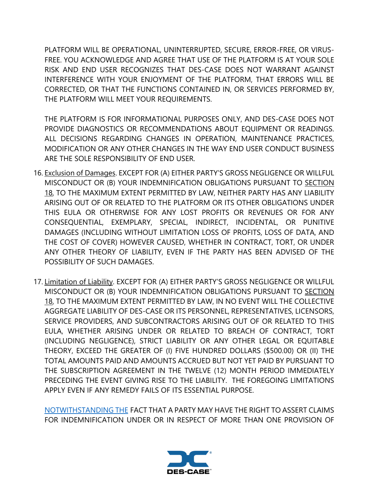PLATFORM WILL BE OPERATIONAL, UNINTERRUPTED, SECURE, ERROR-FREE, OR VIRUS-FREE. YOU ACKNOWLEDGE AND AGREE THAT USE OF THE PLATFORM IS AT YOUR SOLE RISK AND END USER RECOGNIZES THAT DES-CASE DOES NOT WARRANT AGAINST INTERFERENCE WITH YOUR ENJOYMENT OF THE PLATFORM, THAT ERRORS WILL BE CORRECTED, OR THAT THE FUNCTIONS CONTAINED IN, OR SERVICES PERFORMED BY, THE PLATFORM WILL MEET YOUR REQUIREMENTS.

THE PLATFORM IS FOR INFORMATIONAL PURPOSES ONLY, AND DES-CASE DOES NOT PROVIDE DIAGNOSTICS OR RECOMMENDATIONS ABOUT EQUIPMENT OR READINGS. ALL DECISIONS REGARDING CHANGES IN OPERATION, MAINTENANCE PRACTICES, MODIFICATION OR ANY OTHER CHANGES IN THE WAY END USER CONDUCT BUSINESS ARE THE SOLE RESPONSIBILITY OF END USER.

- 16. Exclusion of Damages. EXCEPT FOR (A) EITHER PARTY'S GROSS NEGLIGENCE OR WILLFUL MISCONDUCT OR (B) YOUR INDEMNIFICATION OBLIGATIONS PURSUANT TO SECTION 18, TO THE MAXIMUM EXTENT PERMITTED BY LAW, NEITHER PARTY HAS ANY LIABILITY ARISING OUT OF OR RELATED TO THE PLATFORM OR ITS OTHER OBLIGATIONS UNDER THIS EULA OR OTHERWISE FOR ANY LOST PROFITS OR REVENUES OR FOR ANY CONSEQUENTIAL, EXEMPLARY, SPECIAL, INDIRECT, INCIDENTAL, OR PUNITIVE DAMAGES (INCLUDING WITHOUT LIMITATION LOSS OF PROFITS, LOSS OF DATA, AND THE COST OF COVER) HOWEVER CAUSED, WHETHER IN CONTRACT, TORT, OR UNDER ANY OTHER THEORY OF LIABILITY, EVEN IF THE PARTY HAS BEEN ADVISED OF THE POSSIBILITY OF SUCH DAMAGES.
- 17. Limitation of Liability. EXCEPT FOR (A) EITHER PARTY'S GROSS NEGLIGENCE OR WILLFUL MISCONDUCT OR (B) YOUR INDEMNIFICATION OBLIGATIONS PURSUANT TO SECTION 18, TO THE MAXIMUM EXTENT PERMITTED BY LAW, IN NO EVENT WILL THE COLLECTIVE AGGREGATE LIABILITY OF DES-CASE OR ITS PERSONNEL, REPRESENTATIVES, LICENSORS, SERVICE PROVIDERS, AND SUBCONTRACTORS ARISING OUT OF OR RELATED TO THIS EULA, WHETHER ARISING UNDER OR RELATED TO BREACH OF CONTRACT, TORT (INCLUDING NEGLIGENCE), STRICT LIABILITY OR ANY OTHER LEGAL OR EQUITABLE THEORY, EXCEED THE GREATER OF (I) FIVE HUNDRED DOLLARS (\$500.00) OR (II) THE TOTAL AMOUNTS PAID AND AMOUNTS ACCRUED BUT NOT YET PAID BY PURSUANT TO THE SUBSCRIPTION AGREEMENT IN THE TWELVE (12) MONTH PERIOD IMMEDIATELY PRECEDING THE EVENT GIVING RISE TO THE LIABILITY. THE FOREGOING LIMITATIONS APPLY EVEN IF ANY REMEDY FAILS OF ITS ESSENTIAL PURPOSE.

[NOTWITHSTANDING THE](https://www.lawinsider.com/clause/no-double-recovery) FACT THAT A PARTY MAY HAVE THE RIGHT TO ASSERT CLAIMS FOR INDEMNIFICATION UNDER OR IN RESPECT OF MORE THAN ONE PROVISION OF

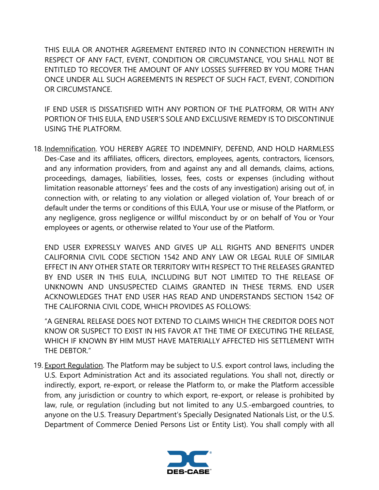THIS EULA OR ANOTHER AGREEMENT ENTERED INTO IN CONNECTION HEREWITH IN RESPECT OF ANY FACT, EVENT, CONDITION OR CIRCUMSTANCE, YOU SHALL NOT BE ENTITLED TO RECOVER THE AMOUNT OF ANY LOSSES SUFFERED BY YOU MORE THAN ONCE UNDER ALL SUCH AGREEMENTS IN RESPECT OF SUCH FACT, EVENT, CONDITION OR CIRCUMSTANCE.

IF END USER IS DISSATISFIED WITH ANY PORTION OF THE PLATFORM, OR WITH ANY PORTION OF THIS EULA, END USER'S SOLE AND EXCLUSIVE REMEDY IS TO DISCONTINUE USING THE PLATFORM.

18. Indemnification. YOU HEREBY AGREE TO INDEMNIFY, DEFEND, AND HOLD HARMLESS Des-Case and its affiliates, officers, directors, employees, agents, contractors, licensors, and any information providers, from and against any and all demands, claims, actions, proceedings, damages, liabilities, losses, fees, costs or expenses (including without limitation reasonable attorneys' fees and the costs of any investigation) arising out of, in connection with, or relating to any violation or alleged violation of, Your breach of or default under the terms or conditions of this EULA, Your use or misuse of the Platform, or any negligence, gross negligence or willful misconduct by or on behalf of You or Your employees or agents, or otherwise related to Your use of the Platform.

END USER EXPRESSLY WAIVES AND GIVES UP ALL RIGHTS AND BENEFITS UNDER CALIFORNIA CIVIL CODE SECTION 1542 AND ANY LAW OR LEGAL RULE OF SIMILAR EFFECT IN ANY OTHER STATE OR TERRITORY WITH RESPECT TO THE RELEASES GRANTED BY END USER IN THIS EULA, INCLUDING BUT NOT LIMITED TO THE RELEASE OF UNKNOWN AND UNSUSPECTED CLAIMS GRANTED IN THESE TERMS. END USER ACKNOWLEDGES THAT END USER HAS READ AND UNDERSTANDS SECTION 1542 OF THE CALIFORNIA CIVIL CODE, WHICH PROVIDES AS FOLLOWS:

"A GENERAL RELEASE DOES NOT EXTEND TO CLAIMS WHICH THE CREDITOR DOES NOT KNOW OR SUSPECT TO EXIST IN HIS FAVOR AT THE TIME OF EXECUTING THE RELEASE, WHICH IF KNOWN BY HIM MUST HAVE MATERIALLY AFFECTED HIS SETTLEMENT WITH THE DEBTOR."

19. Export Regulation. The Platform may be subject to U.S. export control laws, including the U.S. Export Administration Act and its associated regulations. You shall not, directly or indirectly, export, re-export, or release the Platform to, or make the Platform accessible from, any jurisdiction or country to which export, re-export, or release is prohibited by law, rule, or regulation (including but not limited to any U.S.-embargoed countries, to anyone on the U.S. Treasury Department's Specially Designated Nationals List, or the U.S. Department of Commerce Denied Persons List or Entity List). You shall comply with all